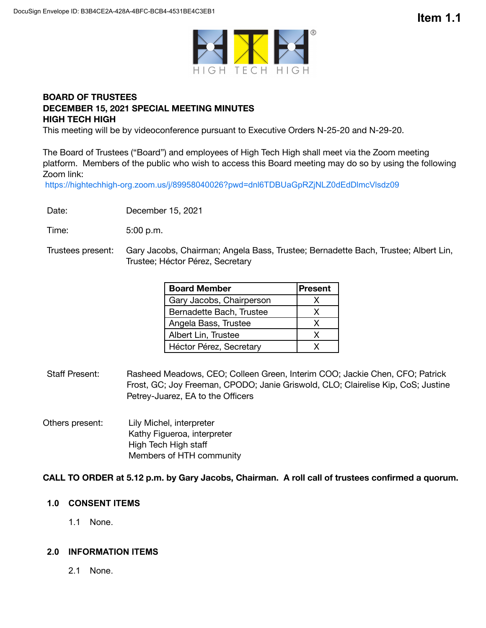

# **BOARD OF TRUSTEES DECEMBER 15, 2021 SPECIAL MEETING MINUTES HIGH TECH HIGH**

This meeting will be by videoconference pursuant to Executive Orders N-25-20 and N-29-20.

The Board of Trustees ("Board") and employees of High Tech High shall meet via the Zoom meeting platform. Members of the public who wish to access this Board meeting may do so by using the following Zoom link:

https://hightechhigh-org.zoom.us/j/89958040026?pwd=dnl6TDBUaGpRZjNLZ0dEdDlmcVlsdz09

Date: December 15, 2021

Time: 5:00 p.m.

Trustees present: Gary Jacobs, Chairman; Angela Bass, Trustee; Bernadette Bach, Trustee; Albert Lin, Trustee; Héctor Pérez, Secretary

| <b>Board Member</b>      | <b>Present</b> |
|--------------------------|----------------|
| Gary Jacobs, Chairperson |                |
| Bernadette Bach, Trustee | x              |
| Angela Bass, Trustee     | x              |
| Albert Lin, Trustee      | x              |
| Héctor Pérez, Secretary  |                |

- Staff Present: Rasheed Meadows, CEO; Colleen Green, Interim COO; Jackie Chen, CFO; Patrick Frost, GC; Joy Freeman, CPODO; Janie Griswold, CLO; Clairelise Kip, CoS; Justine Petrey-Juarez, EA to the Officers
- Others present: Lily Michel, interpreter Kathy Figueroa, interpreter High Tech High staff Members of HTH community

**CALL TO ORDER at 5.12 p.m. by Gary Jacobs, Chairman. A roll call of trustees confirmed a quorum.**

## **1.0 CONSENT ITEMS**

1.1 None.

#### **2.0 INFORMATION ITEMS**

2.1 None.